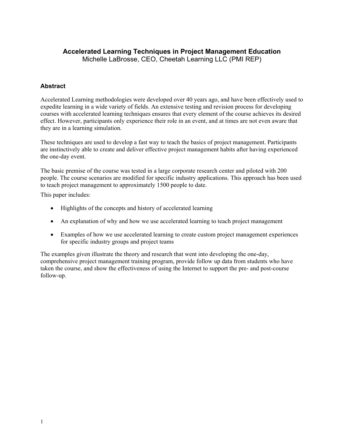# **Accelerated Learning Techniques in Project Management Education**

Michelle LaBrosse, CEO, Cheetah Learning LLC (PMI REP)

# **Abstract**

Accelerated Learning methodologies were developed over 40 years ago, and have been effectively used to expedite learning in a wide variety of fields. An extensive testing and revision process for developing courses with accelerated learning techniques ensures that every element of the course achieves its desired effect. However, participants only experience their role in an event, and at times are not even aware that they are in a learning simulation.

These techniques are used to develop a fast way to teach the basics of project management. Participants are instinctively able to create and deliver effective project management habits after having experienced the one-day event.

The basic premise of the course was tested in a large corporate research center and piloted with 200 people. The course scenarios are modified for specific industry applications. This approach has been used to teach project management to approximately 1500 people to date.

This paper includes:

- Highlights of the concepts and history of accelerated learning
- An explanation of why and how we use accelerated learning to teach project management
- Examples of how we use accelerated learning to create custom project management experiences for specific industry groups and project teams

The examples given illustrate the theory and research that went into developing the one-day, comprehensive project management training program, provide follow up data from students who have taken the course, and show the effectiveness of using the Internet to support the pre- and post-course follow-up.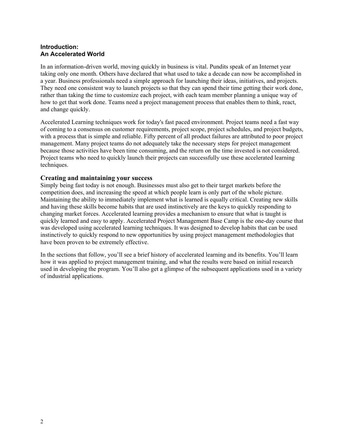# **Introduction: An Accelerated World**

In an information-driven world, moving quickly in business is vital. Pundits speak of an Internet year taking only one month. Others have declared that what used to take a decade can now be accomplished in a year. Business professionals need a simple approach for launching their ideas, initiatives, and projects. They need one consistent way to launch projects so that they can spend their time getting their work done, rather than taking the time to customize each project, with each team member planning a unique way of how to get that work done. Teams need a project management process that enables them to think, react, and change quickly.

Accelerated Learning techniques work for today's fast paced environment. Project teams need a fast way of coming to a consensus on customer requirements, project scope, project schedules, and project budgets, with a process that is simple and reliable. Fifty percent of all product failures are attributed to poor project management. Many project teams do not adequately take the necessary steps for project management because those activities have been time consuming, and the return on the time invested is not considered. Project teams who need to quickly launch their projects can successfully use these accelerated learning techniques.

# **Creating and maintaining your success**

Simply being fast today is not enough. Businesses must also get to their target markets before the competition does, and increasing the speed at which people learn is only part of the whole picture. Maintaining the ability to immediately implement what is learned is equally critical. Creating new skills and having these skills become habits that are used instinctively are the keys to quickly responding to changing market forces. Accelerated learning provides a mechanism to ensure that what is taught is quickly learned and easy to apply. Accelerated Project Management Base Camp is the one-day course that was developed using accelerated learning techniques. It was designed to develop habits that can be used instinctively to quickly respond to new opportunities by using project management methodologies that have been proven to be extremely effective.

In the sections that follow, you'll see a brief history of accelerated learning and its benefits. You'll learn how it was applied to project management training, and what the results were based on initial research used in developing the program. You'll also get a glimpse of the subsequent applications used in a variety of industrial applications.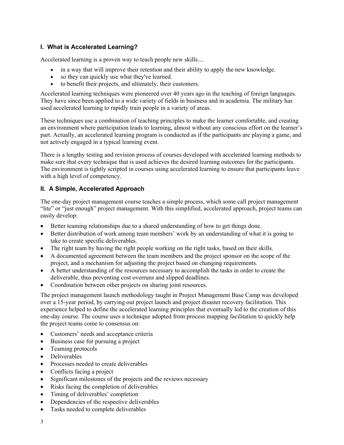# **I. What is Accelerated Learning?**

Accelerated learning is a proven way to teach people new skills....

- in a way that will improve their retention and their ability to apply the new knowledge.
- so they can quickly use what they've learned.
- to benefit their projects, and ultimately, their customers.

Accelerated learning techniques were pioneered over 40 years ago in the teaching of foreign languages. They have since been applied to a wide variety of fields in business and in academia. The military has used accelerated learning to rapidly train people in a variety of areas.

These techniques use a combination of teaching principles to make the learner comfortable, and creating an environment where participation leads to learning, almost without any conscious effort on the learner's part. Actually, an accelerated learning program is conducted as if the participants are playing a game, and not actively engaged in a typical learning event.

There is a lengthy testing and revision process of courses developed with accelerated learning methods to make sure that every technique that is used achieves the desired learning outcomes for the participants. The environment is tightly scripted in courses using accelerated learning to ensure that participants leave with a high level of competency.

# **II. A Simple, Accelerated Approach**

The one-day project management course teaches a simple process, which some call project management "lite" or "just enough" project management. With this simplified, accelerated approach, project teams can easily develop:

- Better teaming relationships due to a shared understanding of how to get things done.
- Better distribution of work among team members' work by an understanding of what it is going to take to create specific deliverables.
- The right team by having the right people working on the right tasks, based on their skills.
- A documented agreement between the team members and the project sponsor on the scope of the project, and a mechanism for adjusting the project based on changing requirements.
- A better understanding of the resources necessary to accomplish the tasks in order to create the deliverable, thus preventing cost overruns and slipped deadlines.
- Coordination between other projects on sharing joint resources.

The project management launch methodology taught in Project Management Base Camp was developed over a 15-year period, by carrying out project launch and project disaster recovery facilitation. This experience helped to define the accelerated learning principles that eventually led to the creation of this one-day course. The course uses a technique adopted from process mapping facilitation to quickly help the project teams come to consensus on:

- Customers' needs and acceptance criteria
- Business case for pursuing a project
- Teaming protocols
- Deliverables
- Processes needed to create deliverables
- Conflicts facing a project
- Significant milestones of the projects and the reviews necessary
- Risks facing the completion of deliverables
- Timing of deliverables' completion
- Dependencies of the respective deliverables
- Tasks needed to complete deliverables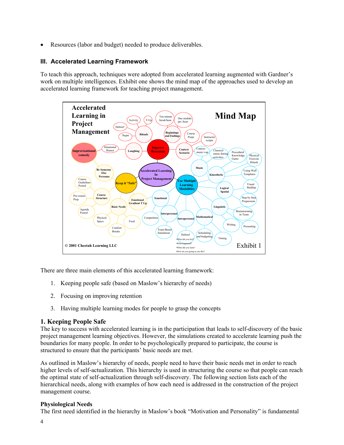• Resources (labor and budget) needed to produce deliverables.

# **III. Accelerated Learning Framework**

To teach this approach, techniques were adopted from accelerated learning augmented with Gardner's work on multiple intelligences. Exhibit one shows the mind map of the approaches used to develop an accelerated learning framework for teaching project management.



There are three main elements of this accelerated learning framework:

- 1. Keeping people safe (based on Maslow's hierarchy of needs)
- 2. Focusing on improving retention
- 3. Having multiple learning modes for people to grasp the concepts

# **1. Keeping People Safe**

The key to success with accelerated learning is in the participation that leads to self-discovery of the basic project management learning objectives. However, the simulations created to accelerate learning push the boundaries for many people. In order to be psychologically prepared to participate, the course is structured to ensure that the participants' basic needs are met.

As outlined in Maslow's hierarchy of needs, people need to have their basic needs met in order to reach higher levels of self-actualization. This hierarchy is used in structuring the course so that people can reach the optimal state of self-actualization through self-discovery. The following section lists each of the hierarchical needs, along with examples of how each need is addressed in the construction of the project management course.

# **Physiological Needs**

The first need identified in the hierarchy in Maslow's book "Motivation and Personality" is fundamental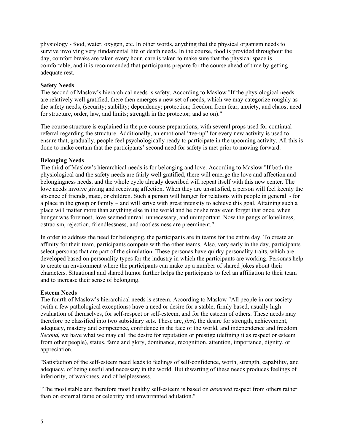physiology - food, water, oxygen, etc. In other words, anything that the physical organism needs to survive involving very fundamental life or death needs. In the course, food is provided throughout the day, comfort breaks are taken every hour, care is taken to make sure that the physical space is comfortable, and it is recommended that participants prepare for the course ahead of time by getting adequate rest.

#### **Safety Needs**

The second of Maslow's hierarchical needs is safety. According to Maslow "If the physiological needs are relatively well gratified, there then emerges a new set of needs, which we may categorize roughly as the safety needs, (security; stability; dependency; protection; freedom from fear, anxiety, and chaos; need for structure, order, law, and limits; strength in the protector; and so on)."

The course structure is explained in the pre-course preparations, with several props used for continual referral regarding the structure. Additionally, an emotional "tee-up" for every new activity is used to ensure that, gradually, people feel psychologically ready to participate in the upcoming activity. All this is done to make certain that the participants' second need for safety is met prior to moving forward.

#### **Belonging Needs**

The third of Maslow's hierarchical needs is for belonging and love. According to Maslow "If both the physiological and the safety needs are fairly well gratified, there will emerge the love and affection and belongingness needs, and the whole cycle already described will repeat itself with this new center. The love needs involve giving and receiving affection. When they are unsatisfied, a person will feel keenly the absence of friends, mate, or children. Such a person will hunger for relations with people in general  $\sim$  for a place in the group or family  $\sim$  and will strive with great intensity to achieve this goal. Attaining such a place will matter more than anything else in the world and he or she may even forget that once, when hunger was foremost, love seemed unreal, unnecessary, and unimportant. Now the pangs of loneliness, ostracism, rejection, friendlessness, and rootless ness are preeminent."

In order to address the need for belonging, the participants are in teams for the entire day. To create an affinity for their team, participants compete with the other teams. Also, very early in the day, participants select personas that are part of the simulation. These personas have quirky personality traits, which are developed based on personality types for the industry in which the participants are working. Personas help to create an environment where the participants can make up a number of shared jokes about their characters. Situational and shared humor further helps the participants to feel an affiliation to their team and to increase their sense of belonging.

### **Esteem Needs**

The fourth of Maslow's hierarchical needs is esteem. According to Maslow "All people in our society (with a few pathological exceptions) have a need or desire for a stable, firmly based, usually high evaluation of themselves, for self-respect or self-esteem, and for the esteem of others. These needs may therefore be classified into two subsidiary sets**.** These are, *first,* the desire for strength, achievement, adequacy, mastery and competence, confidence in the face of the world, and independence and freedom. *Second,* we have what we may call the desire for reputation or prestige **(**defining it as respect or esteem from other people), status, fame and glory, dominance, recognition, attention, importance, dignity, or appreciation.

"Satisfaction of the self-esteem need leads to feelings of self-confidence, worth, strength, capability, and adequacy, of being useful and necessary in the world. But thwarting of these needs produces feelings of inferiority, of weakness, and of helplessness.

"The most stable and therefore most healthy self-esteem is based on *deserved* respect from others rather than on external fame or celebrity and unwarranted adulation."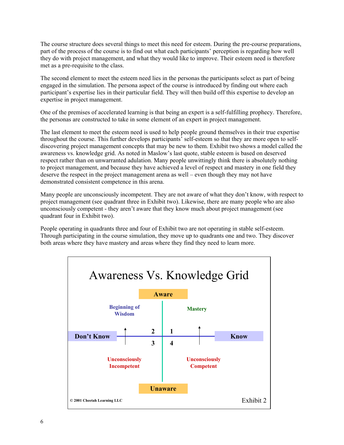The course structure does several things to meet this need for esteem. During the pre-course preparations, part of the process of the course is to find out what each participants' perception is regarding how well they do with project management, and what they would like to improve. Their esteem need is therefore met as a pre-requisite to the class.

The second element to meet the esteem need lies in the personas the participants select as part of being engaged in the simulation. The persona aspect of the course is introduced by finding out where each participant's expertise lies in their particular field. They will then build off this expertise to develop an expertise in project management.

One of the premises of accelerated learning is that being an expert is a self-fulfilling prophecy. Therefore, the personas are constructed to take in some element of an expert in project management.

The last element to meet the esteem need is used to help people ground themselves in their true expertise throughout the course. This further develops participants' self-esteem so that they are more open to selfdiscovering project management concepts that may be new to them. Exhibit two shows a model called the awareness vs. knowledge grid. As noted in Maslow's last quote, stable esteem is based on deserved respect rather than on unwarranted adulation. Many people unwittingly think there is absolutely nothing to project management, and because they have achieved a level of respect and mastery in one field they deserve the respect in the project management arena as well – even though they may not have demonstrated consistent competence in this arena.

Many people are unconsciously incompetent. They are not aware of what they don't know, with respect to project management (see quadrant three in Exhibit two). Likewise, there are many people who are also unconsciously competent - they aren't aware that they know much about project management (see quadrant four in Exhibit two).

People operating in quadrants three and four of Exhibit two are not operating in stable self-esteem. Through participating in the course simulation, they move up to quadrants one and two. They discover both areas where they have mastery and areas where they find they need to learn more.

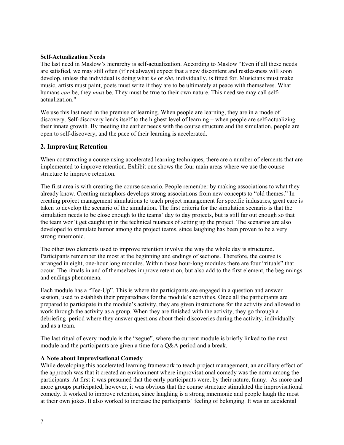### **Self-Actualization Needs**

The last need in Maslow's hierarchy is self-actualization. According to Maslow "Even if all these needs are satisfied, we may still often (if not always) expect that a new discontent and restlessness will soon develop, unless the individual is doing what *he* or *she*, individually, is fitted for. Musicians must make music, artists must paint, poets must write if they are to be ultimately at peace with themselves. What humans *can* be, they *must* be. They must be true to their own nature. This need we may call selfactualization."

We use this last need in the premise of learning. When people are learning, they are in a mode of discovery. Self-discovery lends itself to the highest level of learning – when people are self-actualizing their innate growth. By meeting the earlier needs with the course structure and the simulation, people are open to self-discovery, and the pace of their learning is accelerated.

### **2. Improving Retention**

When constructing a course using accelerated learning techniques, there are a number of elements that are implemented to improve retention. Exhibit one shows the four main areas where we use the course structure to improve retention.

The first area is with creating the course scenario. People remember by making associations to what they already know. Creating metaphors develops strong associations from new concepts to "old themes." In creating project management simulations to teach project management for specific industries, great care is taken to develop the scenario of the simulation. The first criteria for the simulation scenario is that the simulation needs to be close enough to the teams' day to day projects, but is still far out enough so that the team won't get caught up in the technical nuances of setting up the project. The scenarios are also developed to stimulate humor among the project teams, since laughing has been proven to be a very strong mnemonic.

The other two elements used to improve retention involve the way the whole day is structured. Participants remember the most at the beginning and endings of sections. Therefore, the course is arranged in eight, one-hour long modules. Within those hour-long modules there are four "rituals" that occur. The rituals in and of themselves improve retention, but also add to the first element, the beginnings and endings phenomena.

Each module has a "Tee-Up". This is where the participants are engaged in a question and answer session, used to establish their preparedness for the module's activities. Once all the participants are prepared to participate in the module's activity, they are given instructions for the activity and allowed to work through the activity as a group. When they are finished with the activity, they go through a debriefing period where they answer questions about their discoveries during the activity, individually and as a team.

The last ritual of every module is the "segue", where the current module is briefly linked to the next module and the participants are given a time for a Q&A period and a break.

### **A Note about Improvisational Comedy**

While developing this accelerated learning framework to teach project management, an ancillary effect of the approach was that it created an environment where improvisational comedy was the norm among the participants. At first it was presumed that the early participants were, by their nature, funny. As more and more groups participated, however, it was obvious that the course structure stimulated the improvisational comedy. It worked to improve retention, since laughing is a strong mnemonic and people laugh the most at their own jokes. It also worked to increase the participants' feeling of belonging. It was an accidental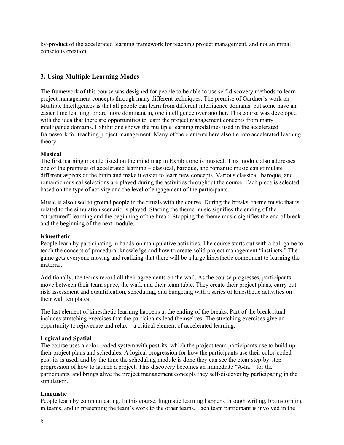by-product of the accelerated learning framework for teaching project management, and not an initial conscious creation.

# **3. Using Multiple Learning Modes**

The framework of this course was designed for people to be able to use self-discovery methods to learn project management concepts through many different techniques. The premise of Gardner's work on Multiple Intelligences is that all people can learn from different intelligence domains, but some have an easier time learning, or are more dominant in, one intelligence over another. This course was developed with the idea that there are opportunities to learn the project management concepts from many intelligence domains. Exhibit one shows the multiple learning modalities used in the accelerated framework for teaching project management. Many of the elements here also tie into accelerated learning theory.

### **Musical**

The first learning module listed on the mind map in Exhibit one is musical. This module also addresses one of the premises of accelerated learning – classical, baroque, and romantic music can stimulate different aspects of the brain and make it easier to learn new concepts. Various classical, baroque, and romantic musical selections are played during the activities throughout the course. Each piece is selected based on the type of activity and the level of engagement of the participants.

Music is also used to ground people in the rituals with the course. During the breaks, theme music that is related to the simulation scenario is played. Starting the theme music signifies the ending of the "structured" learning and the beginning of the break. Stopping the theme music signifies the end of break and the beginning of the next module.

# **Kinesthetic**

People learn by participating in hands-on manipulative activities. The course starts out with a ball game to teach the concept of procedural knowledge and how to create solid project management "instincts." The game gets everyone moving and realizing that there will be a large kinesthetic component to learning the material.

Additionally, the teams record all their agreements on the wall. As the course progresses, participants move between their team space, the wall, and their team table. They create their project plans, carry out risk assessment and quantification, scheduling, and budgeting with a series of kinesthetic activities on their wall templates.

The last element of kinesthetic learning happens at the ending of the breaks. Part of the break ritual includes stretching exercises that the participants lead themselves. The stretching exercises give an opportunity to rejuvenate and relax – a critical element of accelerated learning.

# **Logical and Spatial**

The course uses a color–coded system with post-its, which the project team participants use to build up their project plans and schedules. A logical progression for how the participants use their color-coded post-its is used, and by the time the scheduling module is done they can see the clear step-by-step progression of how to launch a project. This discovery becomes an immediate "A-ha!" for the participants, and brings alive the project management concepts they self-discover by participating in the simulation.

# **Linguistic**

People learn by communicating. In this course, linguistic learning happens through writing, brainstorming in teams, and in presenting the team's work to the other teams. Each team participant is involved in the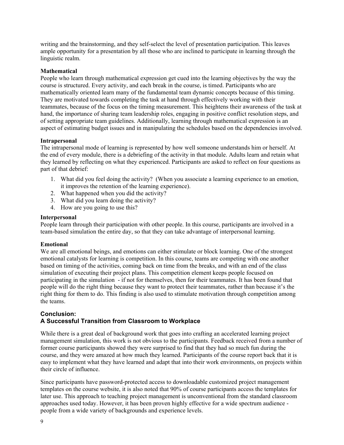writing and the brainstorming, and they self-select the level of presentation participation. This leaves ample opportunity for a presentation by all those who are inclined to participate in learning through the linguistic realm.

### **Mathematical**

People who learn through mathematical expression get cued into the learning objectives by the way the course is structured. Every activity, and each break in the course, is timed. Participants who are mathematically oriented learn many of the fundamental team dynamic concepts because of this timing. They are motivated towards completing the task at hand through effectively working with their teammates, because of the focus on the timing measurement. This heightens their awareness of the task at hand, the importance of sharing team leadership roles, engaging in positive conflict resolution steps, and of setting appropriate team guidelines. Additionally, learning through mathematical expression is an aspect of estimating budget issues and in manipulating the schedules based on the dependencies involved.

### **Intrapersonal**

The intrapersonal mode of learning is represented by how well someone understands him or herself. At the end of every module, there is a debriefing of the activity in that module. Adults learn and retain what they learned by reflecting on what they experienced. Participants are asked to reflect on four questions as part of that debrief:

- 1. What did you feel doing the activity? (When you associate a learning experience to an emotion, it improves the retention of the learning experience).
- 2. What happened when you did the activity?
- 3. What did you learn doing the activity?
- 4. How are you going to use this?

#### **Interpersonal**

People learn through their participation with other people. In this course, participants are involved in a team-based simulation the entire day, so that they can take advantage of interpersonal learning.

### **Emotional**

We are all emotional beings, and emotions can either stimulate or block learning. One of the strongest emotional catalysts for learning is competition. In this course, teams are competing with one another based on timing of the activities, coming back on time from the breaks, and with an end of the class simulation of executing their project plans. This competition element keeps people focused on participating in the simulation - if not for themselves, then for their teammates. It has been found that people will do the right thing because they want to protect their teammates, rather than because it's the right thing for them to do. This finding is also used to stimulate motivation through competition among the teams.

### **Conclusion: A Successful Transition from Classroom to Workplace**

While there is a great deal of background work that goes into crafting an accelerated learning project management simulation, this work is not obvious to the participants. Feedback received from a number of former course participants showed they were surprised to find that they had so much fun during the course, and they were amazed at how much they learned. Participants of the course report back that it is easy to implement what they have learned and adapt that into their work environments, on projects within their circle of influence.

Since participants have password-protected access to downloadable customized project management templates on the course website, it is also noted that 90% of course participants access the templates for later use. This approach to teaching project management is unconventional from the standard classroom approaches used today. However, it has been proven highly effective for a wide spectrum audience people from a wide variety of backgrounds and experience levels.